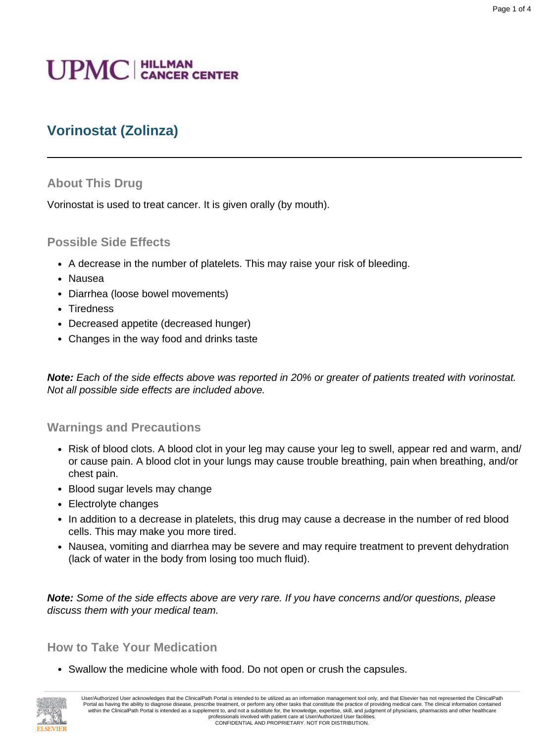# **UPMC** | HILLMAN

# **Vorinostat (Zolinza)**

## **About This Drug**

Vorinostat is used to treat cancer. It is given orally (by mouth).

## **Possible Side Effects**

- A decrease in the number of platelets. This may raise your risk of bleeding.
- Nausea
- Diarrhea (loose bowel movements)
- Tiredness
- Decreased appetite (decreased hunger)
- Changes in the way food and drinks taste

**Note:** Each of the side effects above was reported in 20% or greater of patients treated with vorinostat. Not all possible side effects are included above.

## **Warnings and Precautions**

- Risk of blood clots. A blood clot in your leg may cause your leg to swell, appear red and warm, and/ or cause pain. A blood clot in your lungs may cause trouble breathing, pain when breathing, and/or chest pain.
- Blood sugar levels may change
- Electrolyte changes
- In addition to a decrease in platelets, this drug may cause a decrease in the number of red blood cells. This may make you more tired.
- Nausea, vomiting and diarrhea may be severe and may require treatment to prevent dehydration (lack of water in the body from losing too much fluid).

**Note:** Some of the side effects above are very rare. If you have concerns and/or questions, please discuss them with your medical team.

#### **How to Take Your Medication**

• Swallow the medicine whole with food. Do not open or crush the capsules.

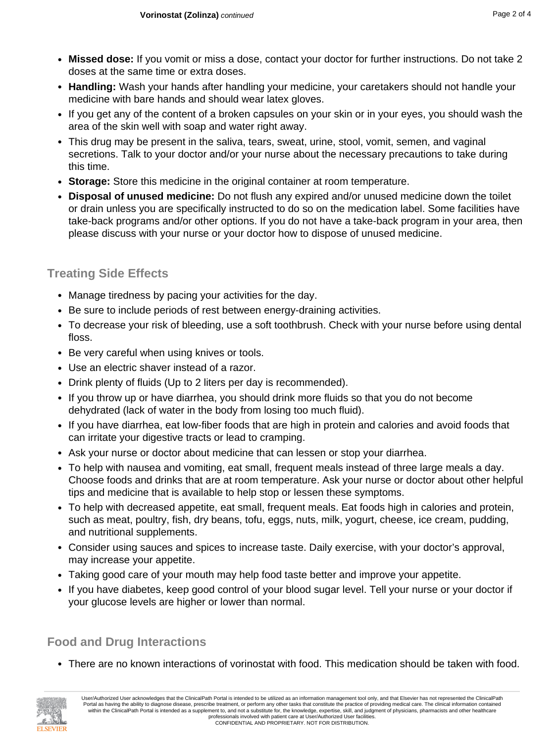- **Missed dose:** If you vomit or miss a dose, contact your doctor for further instructions. Do not take 2 doses at the same time or extra doses.
- **Handling:** Wash your hands after handling your medicine, your caretakers should not handle your medicine with bare hands and should wear latex gloves.
- If you get any of the content of a broken capsules on your skin or in your eyes, you should wash the area of the skin well with soap and water right away.
- This drug may be present in the saliva, tears, sweat, urine, stool, vomit, semen, and vaginal secretions. Talk to your doctor and/or your nurse about the necessary precautions to take during this time.
- **Storage:** Store this medicine in the original container at room temperature.
- **Disposal of unused medicine:** Do not flush any expired and/or unused medicine down the toilet or drain unless you are specifically instructed to do so on the medication label. Some facilities have take-back programs and/or other options. If you do not have a take-back program in your area, then please discuss with your nurse or your doctor how to dispose of unused medicine.

# **Treating Side Effects**

- Manage tiredness by pacing your activities for the day.
- Be sure to include periods of rest between energy-draining activities.
- To decrease your risk of bleeding, use a soft toothbrush. Check with your nurse before using dental floss.
- Be very careful when using knives or tools.
- Use an electric shaver instead of a razor.
- Drink plenty of fluids (Up to 2 liters per day is recommended).
- If you throw up or have diarrhea, you should drink more fluids so that you do not become dehydrated (lack of water in the body from losing too much fluid).
- If you have diarrhea, eat low-fiber foods that are high in protein and calories and avoid foods that can irritate your digestive tracts or lead to cramping.
- Ask your nurse or doctor about medicine that can lessen or stop your diarrhea.
- To help with nausea and vomiting, eat small, frequent meals instead of three large meals a day. Choose foods and drinks that are at room temperature. Ask your nurse or doctor about other helpful tips and medicine that is available to help stop or lessen these symptoms.
- To help with decreased appetite, eat small, frequent meals. Eat foods high in calories and protein, such as meat, poultry, fish, dry beans, tofu, eggs, nuts, milk, yogurt, cheese, ice cream, pudding, and nutritional supplements.
- Consider using sauces and spices to increase taste. Daily exercise, with your doctor's approval, may increase your appetite.
- Taking good care of your mouth may help food taste better and improve your appetite.
- If you have diabetes, keep good control of your blood sugar level. Tell your nurse or your doctor if your glucose levels are higher or lower than normal.

# **Food and Drug Interactions**

• There are no known interactions of vorinostat with food. This medication should be taken with food.

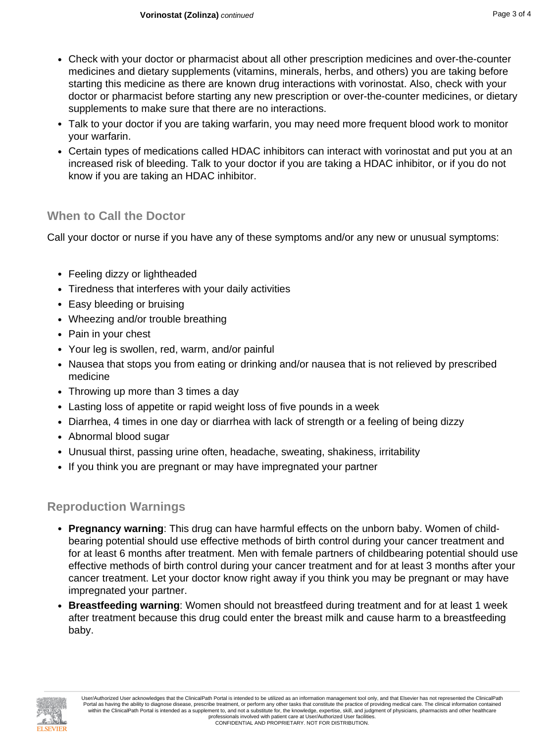- Check with your doctor or pharmacist about all other prescription medicines and over-the-counter medicines and dietary supplements (vitamins, minerals, herbs, and others) you are taking before starting this medicine as there are known drug interactions with vorinostat. Also, check with your doctor or pharmacist before starting any new prescription or over-the-counter medicines, or dietary supplements to make sure that there are no interactions.
- Talk to your doctor if you are taking warfarin, you may need more frequent blood work to monitor your warfarin.
- Certain types of medications called HDAC inhibitors can interact with vorinostat and put you at an increased risk of bleeding. Talk to your doctor if you are taking a HDAC inhibitor, or if you do not know if you are taking an HDAC inhibitor.

## **When to Call the Doctor**

Call your doctor or nurse if you have any of these symptoms and/or any new or unusual symptoms:

- Feeling dizzy or lightheaded
- Tiredness that interferes with your daily activities
- Easy bleeding or bruising
- Wheezing and/or trouble breathing
- Pain in your chest
- Your leg is swollen, red, warm, and/or painful
- Nausea that stops you from eating or drinking and/or nausea that is not relieved by prescribed medicine
- Throwing up more than 3 times a day
- Lasting loss of appetite or rapid weight loss of five pounds in a week
- Diarrhea, 4 times in one day or diarrhea with lack of strength or a feeling of being dizzy
- Abnormal blood sugar
- Unusual thirst, passing urine often, headache, sweating, shakiness, irritability
- If you think you are pregnant or may have impregnated your partner

# **Reproduction Warnings**

- **Pregnancy warning**: This drug can have harmful effects on the unborn baby. Women of childbearing potential should use effective methods of birth control during your cancer treatment and for at least 6 months after treatment. Men with female partners of childbearing potential should use effective methods of birth control during your cancer treatment and for at least 3 months after your cancer treatment. Let your doctor know right away if you think you may be pregnant or may have impregnated your partner.
- **Breastfeeding warning**: Women should not breastfeed during treatment and for at least 1 week after treatment because this drug could enter the breast milk and cause harm to a breastfeeding baby.